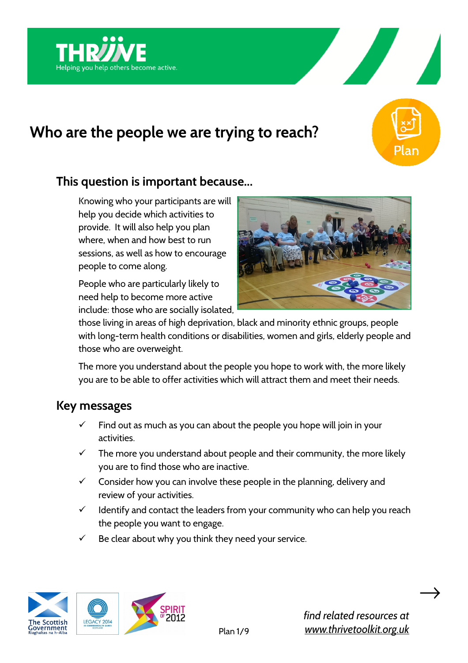





Knowing who your participants are will help you decide which activities to provide. It will also help you plan where, when and how best to run sessions, as well as how to encourage people to come along.

People who are particularly likely to need help to become more active include: those who are socially isolated,



those living in areas of high deprivation, black and minority ethnic groups, people with long-term health conditions or disabilities, women and girls, elderly people and those who are overweight.

The more you understand about the people you hope to work with, the more likely you are to be able to offer activities which will attract them and meet their needs.

## **Key messages**

- $\checkmark$  Find out as much as you can about the people you hope will join in your activities.
- $\checkmark$  The more you understand about people and their community, the more likely you are to find those who are inactive.
- $\checkmark$  Consider how you can involve these people in the planning, delivery and review of your activities.
- $\checkmark$  Identify and contact the leaders from your community who can help you reach the people you want to engage.
- $\checkmark$  Be clear about why you think they need your service.





 $\rightarrow$